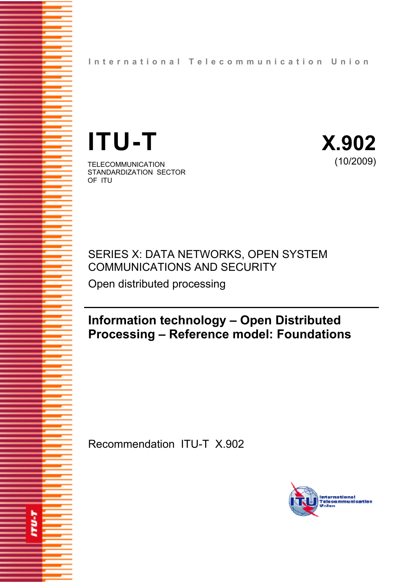# **ITU-T X.902**

TELECOMMUNICATION STANDARDIZATION SECTOR OF ITU



# SERIES X: DATA NETWORKS, OPEN SYSTEM COMMUNICATIONS AND SECURITY

Open distributed processing

# **Information technology – Open Distributed Processing – Reference model: Foundations**

Recommendation ITU-T X.902

**FUT** 

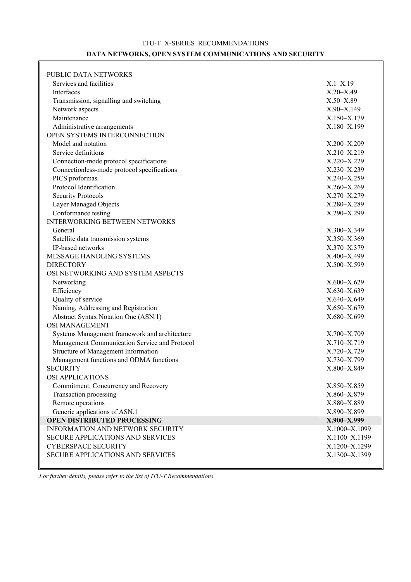# ITU-T X-SERIES RECOMMENDATIONS **DATA NETWORKS, OPEN SYSTEM COMMUNICATIONS AND SECURITY**

| PUBLIC DATA NETWORKS                          |                 |
|-----------------------------------------------|-----------------|
| Services and facilities                       | $X.1 - X.19$    |
| Interfaces                                    | $X.20 - X.49$   |
| Transmission, signalling and switching        | $X.50 - X.89$   |
| Network aspects                               | $X.90 - X.149$  |
| Maintenance                                   | X.150-X.179     |
| Administrative arrangements                   | X.180-X.199     |
| OPEN SYSTEMS INTERCONNECTION                  |                 |
| Model and notation                            | $X.200 - X.209$ |
| Service definitions                           | X.210-X.219     |
| Connection-mode protocol specifications       | X.220-X.229     |
| Connectionless-mode protocol specifications   | X.230-X.239     |
| PICS proformas                                | X.240-X.259     |
| Protocol Identification                       | $X.260 - X.269$ |
| <b>Security Protocols</b>                     | X.270-X.279     |
| Layer Managed Objects                         | X.280-X.289     |
| Conformance testing                           | X.290-X.299     |
| <b>INTERWORKING BETWEEN NETWORKS</b>          |                 |
| General                                       | X.300-X.349     |
| Satellite data transmission systems           | X.350-X.369     |
| IP-based networks                             | X.370-X.379     |
| MESSAGE HANDLING SYSTEMS                      | X.400-X.499     |
| <b>DIRECTORY</b>                              | X.500-X.599     |
| OSI NETWORKING AND SYSTEM ASPECTS             |                 |
| Networking                                    | X.600-X.629     |
| Efficiency                                    | X.630-X.639     |
| Quality of service                            | X.640-X.649     |
| Naming, Addressing and Registration           | X.650-X.679     |
| Abstract Syntax Notation One (ASN.1)          | X.680-X.699     |
| <b>OSI MANAGEMENT</b>                         |                 |
| Systems Management framework and architecture | X.700-X.709     |
| Management Communication Service and Protocol | X.710-X.719     |
| Structure of Management Information           | X.720-X.729     |
| Management functions and ODMA functions       | X.730-X.799     |
| <b>SECURITY</b>                               | X.800-X.849     |
| OSI APPLICATIONS                              |                 |
| Commitment, Concurrency and Recovery          | X.850-X.859     |
| Transaction processing                        | X.860-X.879     |
| Remote operations                             | X.880-X.889     |
| Generic applications of ASN.1                 | X.890-X.899     |
| <b>OPEN DISTRIBUTED PROCESSING</b>            | X.900-X.999     |
| INFORMATION AND NETWORK SECURITY              | X.1000-X.1099   |
| SECURE APPLICATIONS AND SERVICES              | X.1100-X.1199   |
| <b>CYBERSPACE SECURITY</b>                    | X.1200-X.1299   |
| <b>SECURE APPLICATIONS AND SERVICES</b>       | X.1300-X.1399   |

*For further details, please refer to the list of ITU-T Recommendations.*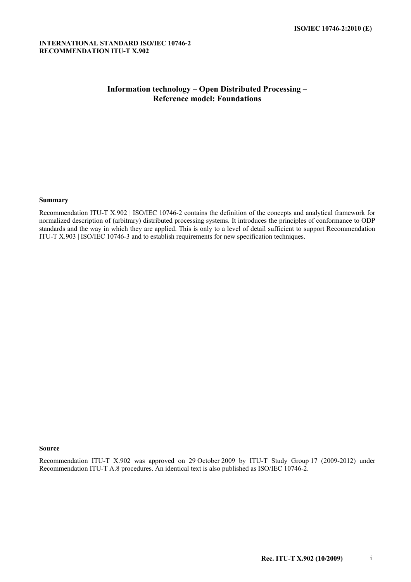#### **INTERNATIONAL STANDARD ISO/IEC 10746-2 RECOMMENDATION ITU-T X.902**

# **Information technology – Open Distributed Processing – Reference model: Foundations**

#### **Summary**

Recommendation ITU-T X.902 | ISO/IEC 10746-2 contains the definition of the concepts and analytical framework for normalized description of (arbitrary) distributed processing systems. It introduces the principles of conformance to ODP standards and the way in which they are applied. This is only to a level of detail sufficient to support Recommendation ITU-T X.903 | ISO/IEC 10746-3 and to establish requirements for new specification techniques.

#### **Source**

Recommendation ITU-T X.902 was approved on 29 October 2009 by ITU-T Study Group 17 (2009-2012) under Recommendation ITU-T A.8 procedures. An identical text is also published as ISO/IEC 10746-2.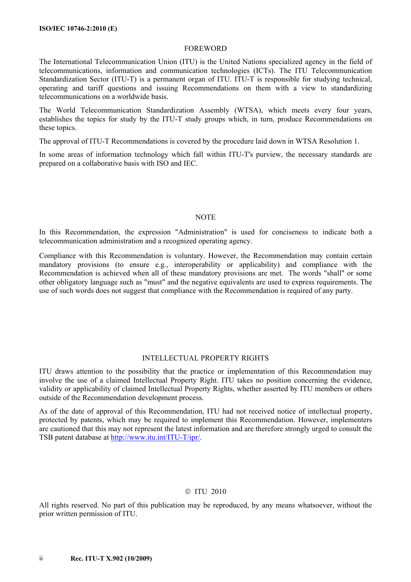#### FOREWORD

The International Telecommunication Union (ITU) is the United Nations specialized agency in the field of telecommunications, information and communication technologies (ICTs). The ITU Telecommunication Standardization Sector (ITU-T) is a permanent organ of ITU. ITU-T is responsible for studying technical, operating and tariff questions and issuing Recommendations on them with a view to standardizing telecommunications on a worldwide basis.

The World Telecommunication Standardization Assembly (WTSA), which meets every four years, establishes the topics for study by the ITU-T study groups which, in turn, produce Recommendations on these topics.

The approval of ITU-T Recommendations is covered by the procedure laid down in WTSA Resolution 1.

In some areas of information technology which fall within ITU-T's purview, the necessary standards are prepared on a collaborative basis with ISO and IEC.

#### NOTE

In this Recommendation, the expression "Administration" is used for conciseness to indicate both a telecommunication administration and a recognized operating agency.

Compliance with this Recommendation is voluntary. However, the Recommendation may contain certain mandatory provisions (to ensure e.g., interoperability or applicability) and compliance with the Recommendation is achieved when all of these mandatory provisions are met. The words "shall" or some other obligatory language such as "must" and the negative equivalents are used to express requirements. The use of such words does not suggest that compliance with the Recommendation is required of any party.

#### INTELLECTUAL PROPERTY RIGHTS

ITU draws attention to the possibility that the practice or implementation of this Recommendation may involve the use of a claimed Intellectual Property Right. ITU takes no position concerning the evidence, validity or applicability of claimed Intellectual Property Rights, whether asserted by ITU members or others outside of the Recommendation development process.

As of the date of approval of this Recommendation, ITU had not received notice of intellectual property, protected by patents, which may be required to implement this Recommendation. However, implementers are cautioned that this may not represent the latest information and are therefore strongly urged to consult the TSB patent database at<http://www.itu.int/ITU-T/ipr/>.

#### © ITU 2010

All rights reserved. No part of this publication may be reproduced, by any means whatsoever, without the prior written permission of ITU.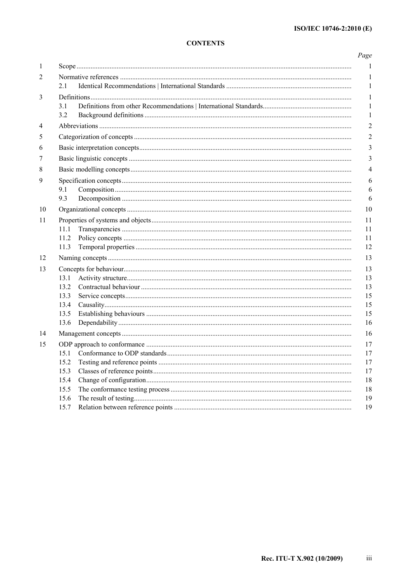#### **CONTENTS**

|    |      | Page   |  |  |  |  |
|----|------|--------|--|--|--|--|
| 1  |      |        |  |  |  |  |
| 2  |      | 1      |  |  |  |  |
|    | 2.1  | 1      |  |  |  |  |
| 3  |      | 1      |  |  |  |  |
|    | 3.1  | 1      |  |  |  |  |
|    | 3.2  | 1      |  |  |  |  |
| 4  |      |        |  |  |  |  |
| 5  |      |        |  |  |  |  |
| 6  |      |        |  |  |  |  |
| 7  |      |        |  |  |  |  |
| 8  |      | 3<br>4 |  |  |  |  |
| 9  |      | 6      |  |  |  |  |
|    | 9.1  | 6      |  |  |  |  |
|    | 9.3  | 6      |  |  |  |  |
| 10 |      | 10     |  |  |  |  |
| 11 |      | 11     |  |  |  |  |
|    | 11.1 | 11     |  |  |  |  |
|    | 11.2 | 11     |  |  |  |  |
|    | 11.3 | 12     |  |  |  |  |
| 12 |      | 13     |  |  |  |  |
| 13 |      | 13     |  |  |  |  |
|    | 13.1 | 13     |  |  |  |  |
|    | 13.2 | 13     |  |  |  |  |
|    | 13.3 | 15     |  |  |  |  |
|    | 13.4 | 15     |  |  |  |  |
|    | 13.5 | 15     |  |  |  |  |
|    | 13.6 | 16     |  |  |  |  |
| 14 |      | 16     |  |  |  |  |
| 15 |      | 17     |  |  |  |  |
|    | 15.1 | 17     |  |  |  |  |
|    | 15.2 | 17     |  |  |  |  |
|    | 15.3 | 17     |  |  |  |  |
|    | 15.4 | 18     |  |  |  |  |
|    | 15.5 | 18     |  |  |  |  |
|    | 15.6 | 19     |  |  |  |  |
|    | 15.7 | 19     |  |  |  |  |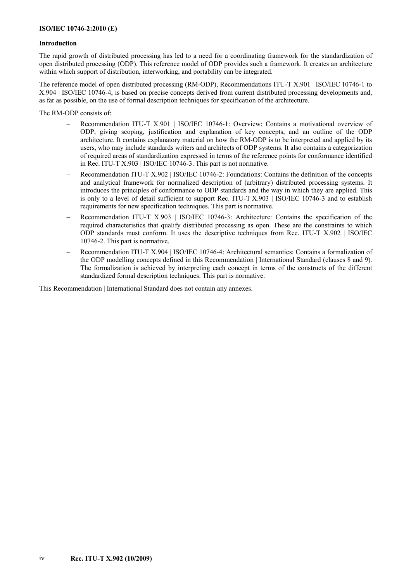#### **Introduction**

The rapid growth of distributed processing has led to a need for a coordinating framework for the standardization of open distributed processing (ODP). This reference model of ODP provides such a framework. It creates an architecture within which support of distribution, interworking, and portability can be integrated.

The reference model of open distributed processing (RM-ODP), Recommendations ITU-T X.901 | ISO/IEC 10746-1 to X.904 | ISO/IEC 10746-4, is based on precise concepts derived from current distributed processing developments and, as far as possible, on the use of formal description techniques for specification of the architecture.

The RM-ODP consists of:

- Recommendation ITU-T X.901 | ISO/IEC 10746-1: Overview: Contains a motivational overview of ODP, giving scoping, justification and explanation of key concepts, and an outline of the ODP architecture. It contains explanatory material on how the RM-ODP is to be interpreted and applied by its users, who may include standards writers and architects of ODP systems. It also contains a categorization of required areas of standardization expressed in terms of the reference points for conformance identified in Rec. ITU-T X.903 | ISO/IEC 10746-3. This part is not normative.
- Recommendation ITU-T X.902 | ISO/IEC 10746-2: Foundations: Contains the definition of the concepts and analytical framework for normalized description of (arbitrary) distributed processing systems. It introduces the principles of conformance to ODP standards and the way in which they are applied. This is only to a level of detail sufficient to support Rec. ITU-T X.903 | ISO/IEC 10746-3 and to establish requirements for new specification techniques. This part is normative.
- Recommendation ITU-T X.903 | ISO/IEC 10746-3: Architecture: Contains the specification of the required characteristics that qualify distributed processing as open. These are the constraints to which ODP standards must conform. It uses the descriptive techniques from Rec. ITU-T X.902 | ISO/IEC 10746-2. This part is normative.
- Recommendation ITU-T X.904 | ISO/IEC 10746-4: Architectural semantics: Contains a formalization of the ODP modelling concepts defined in this Recommendation | International Standard (clauses 8 and 9). The formalization is achieved by interpreting each concept in terms of the constructs of the different standardized formal description techniques. This part is normative.

This Recommendation | International Standard does not contain any annexes.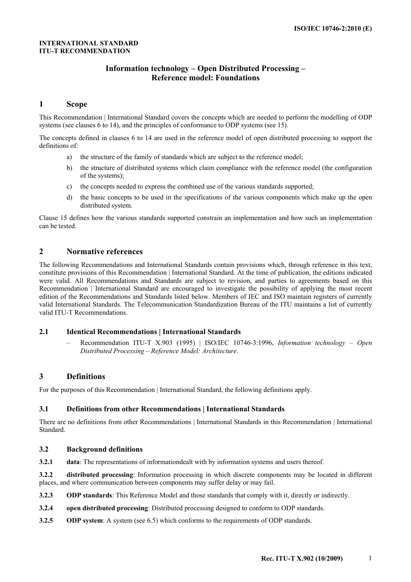#### **INTERNATIONAL STANDARD ITU-T RECOMMENDATION**

# **Information technology – Open Distributed Processing – Reference model: Foundations**

#### **1 Scope**

This Recommendation | International Standard covers the concepts which are needed to perform the modelling of ODP systems (see clauses 6 to 14), and the principles of conformance to ODP systems (see 15).

The concepts defined in clauses 6 to 14 are used in the reference model of open distributed processing to support the definitions of:

- a) the structure of the family of standards which are subject to the reference model;
- b) the structure of distributed systems which claim compliance with the reference model (the configuration of the systems);
- c) the concepts needed to express the combined use of the various standards supported;
- d) the basic concepts to be used in the specifications of the various components which make up the open distributed system.

Clause 15 defines how the various standards supported constrain an implementation and how such an implementation can be tested.

# **2 Normative references**

The following Recommendations and International Standards contain provisions which, through reference in this text, constitute provisions of this Recommendation | International Standard. At the time of publication, the editions indicated were valid. All Recommendations and Standards are subject to revision, and parties to agreements based on this Recommendation | International Standard are encouraged to investigate the possibility of applying the most recent edition of the Recommendations and Standards listed below. Members of IEC and ISO maintain registers of currently valid International Standards. The Telecommunication Standardization Bureau of the ITU maintains a list of currently valid ITU-T Recommendations.

#### **2.1 Identical Recommendations | International Standards**

– Recommendation ITU-T X.903 (1995) | ISO/IEC 10746-3:1996, *Information technology – Open Distributed Processing – Reference Model: Architecture*.

# **3 Definitions**

For the purposes of this Recommendation | International Standard, the following definitions apply.

#### **3.1 Definitions from other Recommendations | International Standards**

There are no definitions from other Recommendations | International Standards in this Recommendation | International Standard.

#### **3.2 Background definitions**

**3.2.1 data**: The representations of informationdealt with by information systems and users thereof.

**3.2.2 distributed processing**: Information processing in which discrete components may be located in different places, and where communication between components may suffer delay or may fail.

- **3.2.3 ODP standards**: This Reference Model and those standards that comply with it, directly or indirectly.
- **3.2.4 open distributed processing**: Distributed processing designed to conform to ODP standards.
- **3.2.5 ODP system**: A system (see 6.5) which conforms to the requirements of ODP standards.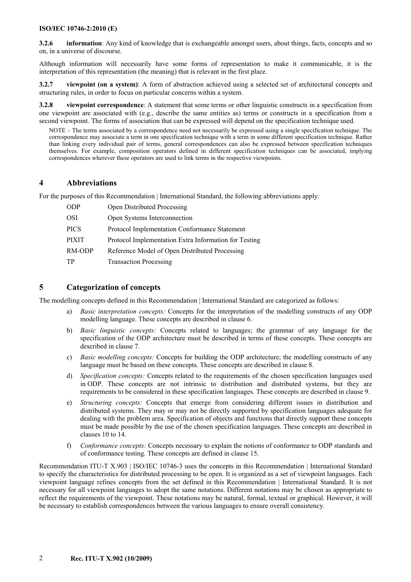**3.2.6 information**: Any kind of knowledge that is exchangeable amongst users, about things, facts, concepts and so on, in a universe of discourse.

Although information will necessarily have some forms of representation to make it communicable, it is the interpretation of this representation (the meaning) that is relevant in the first place.

**3.2.7 viewpoint (on a system)**: A form of abstraction achieved using a selected set of architectural concepts and structuring rules, in order to focus on particular concerns within a system.

**3.2.8 viewpoint correspondence**: A statement that some terms or other linguistic constructs in a specification from one viewpoint are associated with (e.g., describe the same entities as) terms or constructs in a specification from a second viewpoint. The forms of association that can be expressed will depend on the specification technique used.

NOTE – The terms associated by a correspondence need not necessarily be expressed using a single specification technique. The correspondence may associate a term in one specification technique with a term in some different specification technique. Rather than linking every individual pair of terms, general correspondences can also be expressed between specification techniques themselves. For example, composition operators defined in different specification techniques can be associated, implying correspondences wherever these operators are used to link terms in the respective viewpoints.

#### **4 Abbreviations**

For the purposes of this Recommendation | International Standard, the following abbreviations apply:

| <b>ODP</b>   | Open Distributed Processing                           |
|--------------|-------------------------------------------------------|
| OSI          | Open Systems Interconnection                          |
| <b>PICS</b>  | Protocol Implementation Conformance Statement         |
| <b>PIXIT</b> | Protocol Implementation Extra Information for Testing |
| RM-ODP       | Reference Model of Open Distributed Processing        |
| TР           | <b>Transaction Processing</b>                         |

# **5 Categorization of concepts**

The modelling concepts defined in this Recommendation | International Standard are categorized as follows:

- a) *Basic interpretation concepts:* Concepts for the interpretation of the modelling constructs of any ODP modelling language. These concepts are described in clause 6.
- b) *Basic linguistic concepts:* Concepts related to languages; the grammar of any language for the specification of the ODP architecture must be described in terms of these concepts. These concepts are described in clause 7.
- c) *Basic modelling concepts:* Concepts for building the ODP architecture; the modelling constructs of any language must be based on these concepts. These concepts are described in clause 8.
- d) *Specification concepts:* Concepts related to the requirements of the chosen specification languages used in ODP. These concepts are not intrinsic to distribution and distributed systems, but they are requirements to be considered in these specification languages. These concepts are described in clause 9.
- e) *Structuring concepts:* Concepts that emerge from considering different issues in distribution and distributed systems. They may or may not be directly supported by specification languages adequate for dealing with the problem area. Specification of objects and functions that directly support these concepts must be made possible by the use of the chosen specification languages. These concepts are described in clauses 10 to 14.
- f) *Conformance concepts:* Concepts necessary to explain the notions of conformance to ODP standards and of conformance testing. These concepts are defined in clause 15.

Recommendation ITU-T X.903 | ISO/IEC 10746-3 uses the concepts in this Recommendation | International Standard to specify the characteristics for distributed processing to be open. It is organized as a set of viewpoint languages. Each viewpoint language refines concepts from the set defined in this Recommendation | International Standard. It is not necessary for all viewpoint languages to adopt the same notations. Different notations may be chosen as appropriate to reflect the requirements of the viewpoint. These notations may be natural, formal, textual or graphical. However, it will be necessary to establish correspondences between the various languages to ensure overall consistency.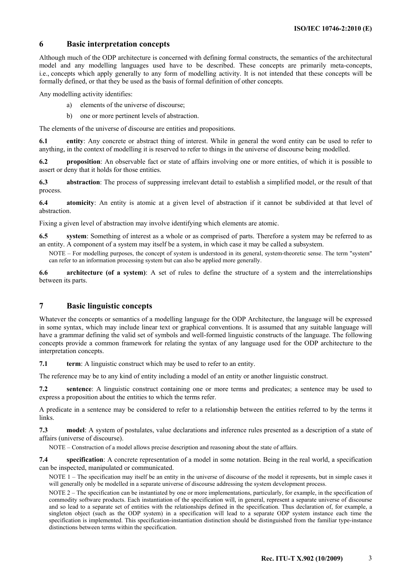# **6 Basic interpretation concepts**

Although much of the ODP architecture is concerned with defining formal constructs, the semantics of the architectural model and any modelling languages used have to be described. These concepts are primarily meta-concepts, i.e., concepts which apply generally to any form of modelling activity. It is not intended that these concepts will be formally defined, or that they be used as the basis of formal definition of other concepts.

Any modelling activity identifies:

- a) elements of the universe of discourse;
- b) one or more pertinent levels of abstraction.

The elements of the universe of discourse are entities and propositions.

**6.1 entity**: Any concrete or abstract thing of interest. While in general the word entity can be used to refer to anything, in the context of modelling it is reserved to refer to things in the universe of discourse being modelled.

**6.2 proposition**: An observable fact or state of affairs involving one or more entities, of which it is possible to assert or deny that it holds for those entities.

**6.3 abstraction**: The process of suppressing irrelevant detail to establish a simplified model, or the result of that process.

**6.4 atomicity**: An entity is atomic at a given level of abstraction if it cannot be subdivided at that level of abstraction.

Fixing a given level of abstraction may involve identifying which elements are atomic.

**6.5** system: Something of interest as a whole or as comprised of parts. Therefore a system may be referred to as an entity. A component of a system may itself be a system, in which case it may be called a subsystem.

NOTE – For modelling purposes, the concept of system is understood in its general, system-theoretic sense. The term "system" can refer to an information processing system but can also be applied more generally.

**6.6 architecture (of a system)**: A set of rules to define the structure of a system and the interrelationships between its parts.

# **7 Basic linguistic concepts**

Whatever the concepts or semantics of a modelling language for the ODP Architecture, the language will be expressed in some syntax, which may include linear text or graphical conventions. It is assumed that any suitable language will have a grammar defining the valid set of symbols and well-formed linguistic constructs of the language. The following concepts provide a common framework for relating the syntax of any language used for the ODP architecture to the interpretation concepts.

**7.1 term**: A linguistic construct which may be used to refer to an entity.

The reference may be to any kind of entity including a model of an entity or another linguistic construct.

**7.2 sentence**: A linguistic construct containing one or more terms and predicates; a sentence may be used to express a proposition about the entities to which the terms refer.

A predicate in a sentence may be considered to refer to a relationship between the entities referred to by the terms it links.

**7.3 model**: A system of postulates, value declarations and inference rules presented as a description of a state of affairs (universe of discourse).

NOTE – Construction of a model allows precise description and reasoning about the state of affairs.

**7.4 specification**: A concrete representation of a model in some notation. Being in the real world, a specification can be inspected, manipulated or communicated.

NOTE 1 – The specification may itself be an entity in the universe of discourse of the model it represents, but in simple cases it will generally only be modelled in a separate universe of discourse addressing the system development process.

NOTE 2 – The specification can be instantiated by one or more implementations, particularly, for example, in the specification of commodity software products. Each instantiation of the specification will, in general, represent a separate universe of discourse and so lead to a separate set of entities with the relationships defined in the specification. Thus declaration of, for example, a singleton object (such as the ODP system) in a specification will lead to a separate ODP system instance each time the specification is implemented. This specification-instantiation distinction should be distinguished from the familiar type-instance distinctions between terms within the specification.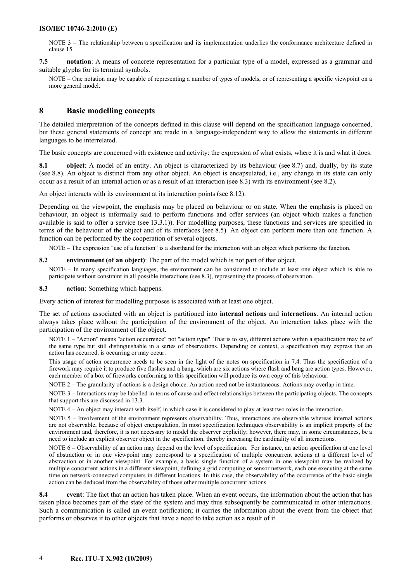NOTE 3 – The relationship between a specification and its implementation underlies the conformance architecture defined in clause 15.

**7.5 notation**: A means of concrete representation for a particular type of a model, expressed as a grammar and suitable glyphs for its terminal symbols.

NOTE – One notation may be capable of representing a number of types of models, or of representing a specific viewpoint on a more general model.

#### **8 Basic modelling concepts**

The detailed interpretation of the concepts defined in this clause will depend on the specification language concerned, but these general statements of concept are made in a language-independent way to allow the statements in different languages to be interrelated.

The basic concepts are concerned with existence and activity: the expression of what exists, where it is and what it does.

**8.1 object**: A model of an entity. An object is characterized by its behaviour (see 8.7) and, dually, by its state (see 8.8). An object is distinct from any other object. An object is encapsulated, i.e., any change in its state can only occur as a result of an internal action or as a result of an interaction (see 8.3) with its environment (see 8.2).

An object interacts with its environment at its interaction points (see 8.12).

Depending on the viewpoint, the emphasis may be placed on behaviour or on state. When the emphasis is placed on behaviour, an object is informally said to perform functions and offer services (an object which makes a function available is said to offer a service (see 13.3.1)). For modelling purposes, these functions and services are specified in terms of the behaviour of the object and of its interfaces (see 8.5). An object can perform more than one function. A function can be performed by the cooperation of several objects.

NOTE – The expression "use of a function" is a shorthand for the interaction with an object which performs the function.

#### **8.2 environment (of an object)**: The part of the model which is not part of that object.

NOTE – In many specification languages, the environment can be considered to include at least one object which is able to participate without constraint in all possible interactions (see 8.3), representing the process of observation.

**8.3 action**: Something which happens.

Every action of interest for modelling purposes is associated with at least one object.

The set of actions associated with an object is partitioned into **internal actions** and **interactions**. An internal action always takes place without the participation of the environment of the object. An interaction takes place with the participation of the environment of the object.

NOTE 1 – "Action" means "action occurrence" not "action type". That is to say, different actions within a specification may be of the same type but still distinguishable in a series of observations. Depending on context, a specification may express that an action has occurred, is occurring or may occur.

This usage of action occurrence needs to be seen in the light of the notes on specification in 7.4. Thus the specification of a firework may require it to produce five flashes and a bang, which are six actions where flash and bang are action types. However, each member of a box of fireworks conforming to this specification will produce its own copy of this behaviour.

NOTE 2 – The granularity of actions is a design choice. An action need not be instantaneous. Actions may overlap in time.

NOTE 3 – Interactions may be labelled in terms of cause and effect relationships between the participating objects. The concepts that support this are discussed in 13.3.

NOTE 4 – An object may interact with itself, in which case it is considered to play at least two roles in the interaction.

NOTE 5 – Involvement of the environment represents observability. Thus, interactions are observable whereas internal actions are not observable, because of object encapsulation. In most specification techniques observability is an implicit property of the environment and, therefore, it is not necessary to model the observer explicitly; however, there may, in some circumstances, be a need to include an explicit observer object in the specification, thereby increasing the cardinality of all interactions.

NOTE 6 – Observability of an action may depend on the level of specification. For instance, an action specification at one level of abstraction or in one viewpoint may correspond to a specification of multiple concurrent actions at a different level of abstraction or in another viewpoint. For example, a basic single function of a system in one viewpoint may be realized by multiple concurrent actions in a different viewpoint, defining a grid computing or sensor network, each one executing at the same time on network-connected computers in different locations. In this case, the observability of the occurrence of the basic single action can be deduced from the observability of those other multiple concurrent actions.

**8.4 event**: The fact that an action has taken place. When an event occurs, the information about the action that has taken place becomes part of the state of the system and may thus subsequently be communicated in other interactions. Such a communication is called an event notification; it carries the information about the event from the object that performs or observes it to other objects that have a need to take action as a result of it.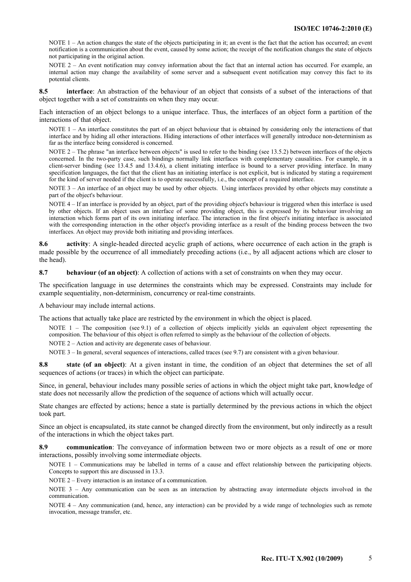NOTE 1 – An action changes the state of the objects participating in it; an event is the fact that the action has occurred; an event notification is a communication about the event, caused by some action; the receipt of the notification changes the state of objects not participating in the original action.

NOTE 2 – An event notification may convey information about the fact that an internal action has occurred. For example, an internal action may change the availability of some server and a subsequent event notification may convey this fact to its potential clients.

**8.5 interface**: An abstraction of the behaviour of an object that consists of a subset of the interactions of that object together with a set of constraints on when they may occur*.*

Each interaction of an object belongs to a unique interface. Thus, the interfaces of an object form a partition of the interactions of that object.

NOTE 1 – An interface constitutes the part of an object behaviour that is obtained by considering only the interactions of that interface and by hiding all other interactions. Hiding interactions of other interfaces will generally introduce non-determinism as far as the interface being considered is concerned.

NOTE 2 – The phrase "an interface between objects" is used to refer to the binding (see 13.5.2) between interfaces of the objects concerned. In the two-party case, such bindings normally link interfaces with complementary causalities. For example, in a client-server binding (see 13.4.5 and 13.4.6), a client initiating interface is bound to a server providing interface. In many specification languages, the fact that the client has an initiating interface is not explicit, but is indicated by stating a requirement for the kind of server needed if the client is to operate successfully, i.e., the concept of a required interface.

NOTE 3 – An interface of an object may be used by other objects. Using interfaces provided by other objects may constitute a part of the object's behaviour.

NOTE 4 – If an interface is provided by an object, part of the providing object's behaviour is triggered when this interface is used by other objects. If an object uses an interface of some providing object, this is expressed by its behaviour involving an interaction which forms part of its own initiating interface. The interaction in the first object's initiating interface is associated with the corresponding interaction in the other object's providing interface as a result of the binding process between the two interfaces. An object may provide both initiating and providing interfaces.

**8.6 activity**: A single-headed directed acyclic graph of actions, where occurrence of each action in the graph is made possible by the occurrence of all immediately preceding actions (i.e., by all adjacent actions which are closer to the head).

**8.7 behaviour (of an object)**: A collection of actions with a set of constraints on when they may occur.

The specification language in use determines the constraints which may be expressed. Constraints may include for example sequentiality, non-determinism, concurrency or real-time constraints.

A behaviour may include internal actions.

The actions that actually take place are restricted by the environment in which the object is placed.

- NOTE 1 The composition (see 9.1) of a collection of objects implicitly yields an equivalent object representing the composition. The behaviour of this object is often referred to simply as the behaviour of the collection of objects.
- NOTE 2 Action and activity are degenerate cases of behaviour.

NOTE 3 – In general, several sequences of interactions, called traces (see 9.7) are consistent with a given behaviour.

**8.8 state (of an object)**: At a given instant in time, the condition of an object that determines the set of all sequences of actions (or traces) in which the object can participate.

Since, in general, behaviour includes many possible series of actions in which the object might take part, knowledge of state does not necessarily allow the prediction of the sequence of actions which will actually occur.

State changes are effected by actions; hence a state is partially determined by the previous actions in which the object took part.

Since an object is encapsulated, its state cannot be changed directly from the environment, but only indirectly as a result of the interactions in which the object takes part.

**8.9** communication: The conveyance of information between two or more objects as a result of one or more interactions, possibly involving some intermediate objects.

NOTE 1 – Communications may be labelled in terms of a cause and effect relationship between the participating objects. Concepts to support this are discussed in 13.3.

NOTE 2 – Every interaction is an instance of a communication.

NOTE 3 – Any communication can be seen as an interaction by abstracting away intermediate objects involved in the communication.

NOTE 4 – Any communication (and, hence, any interaction) can be provided by a wide range of technologies such as remote invocation, message transfer, etc.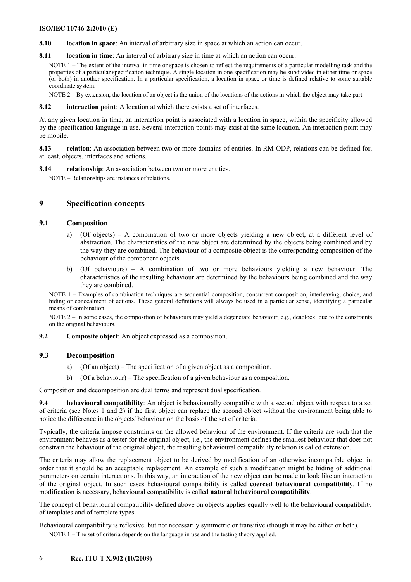**8.10 location in space**: An interval of arbitrary size in space at which an action can occur.

**8.11 location in time**: An interval of arbitrary size in time at which an action can occur.

NOTE 1 – The extent of the interval in time or space is chosen to reflect the requirements of a particular modelling task and the properties of a particular specification technique. A single location in one specification may be subdivided in either time or space (or both) in another specification. In a particular specification, a location in space or time is defined relative to some suitable coordinate system.

NOTE 2 – By extension, the location of an object is the union of the locations of the actions in which the object may take part.

**8.12 interaction point**: A location at which there exists a set of interfaces.

At any given location in time, an interaction point is associated with a location in space, within the specificity allowed by the specification language in use. Several interaction points may exist at the same location. An interaction point may be mobile.

**8.13 relation**: An association between two or more domains of entities. In RM-ODP, relations can be defined for, at least, objects, interfaces and actions.

**8.14 relationship**: An association between two or more entities.

NOTE – Relationships are instances of relations.

# **9 Specification concepts**

#### **9.1 Composition**

- $(Of objects) A$  combination of two or more objects yielding a new object, at a different level of abstraction. The characteristics of the new object are determined by the objects being combined and by the way they are combined. The behaviour of a composite object is the corresponding composition of the behaviour of the component objects.
- b) (Of behaviours) A combination of two or more behaviours yielding a new behaviour. The characteristics of the resulting behaviour are determined by the behaviours being combined and the way they are combined.

NOTE 1 – Examples of combination techniques are sequential composition, concurrent composition, interleaving, choice, and hiding or concealment of actions. These general definitions will always be used in a particular sense, identifying a particular means of combination.

NOTE 2 – In some cases, the composition of behaviours may yield a degenerate behaviour, e.g., deadlock, due to the constraints on the original behaviours.

**9.2 Composite object**: An object expressed as a composition.

#### **9.3 Decomposition**

- a) (Of an object) The specification of a given object as a composition.
- b) (Of a behaviour) The specification of a given behaviour as a composition.

Composition and decomposition are dual terms and represent dual specification.

**9.4** behavioural compatibility: An object is behaviourally compatible with a second object with respect to a set of criteria (see Notes 1 and 2) if the first object can replace the second object without the environment being able to notice the difference in the objects' behaviour on the basis of the set of criteria.

Typically, the criteria impose constraints on the allowed behaviour of the environment. If the criteria are such that the environment behaves as a tester for the original object, i.e., the environment defines the smallest behaviour that does not constrain the behaviour of the original object, the resulting behavioural compatibility relation is called extension.

The criteria may allow the replacement object to be derived by modification of an otherwise incompatible object in order that it should be an acceptable replacement. An example of such a modification might be hiding of additional parameters on certain interactions. In this way, an interaction of the new object can be made to look like an interaction of the original object. In such cases behavioural compatibility is called **coerced behavioural compatibility**. If no modification is necessary, behavioural compatibility is called **natural behavioural compatibility**.

The concept of behavioural compatibility defined above on objects applies equally well to the behavioural compatibility of templates and of template types.

Behavioural compatibility is reflexive, but not necessarily symmetric or transitive (though it may be either or both).

NOTE 1 – The set of criteria depends on the language in use and the testing theory applied.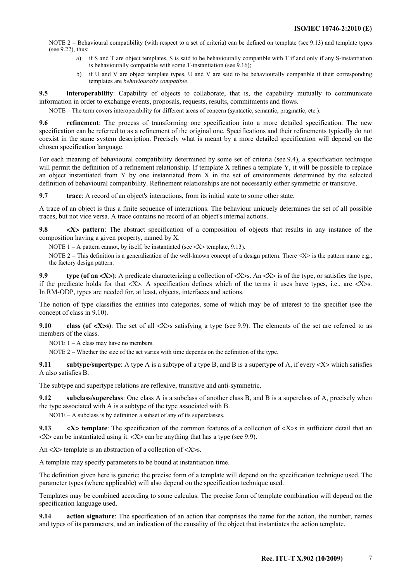NOTE 2 – Behavioural compatibility (with respect to a set of criteria) can be defined on template (see 9.13) and template types (see 9.22), thus:

- a) if S and T are object templates, S is said to be behaviourally compatible with T if and only if any S-instantiation is behaviourally compatible with some T-instantiation (see 9.16);
- b) if U and V are object template types, U and V are said to be behaviourally compatible if their corresponding templates are *behaviourally compatible*.

**9.5 interoperability**: Capability of objects to collaborate, that is, the capability mutually to communicate information in order to exchange events, proposals, requests, results, commitments and flows.

NOTE – The term covers interoperability for different areas of concern (syntactic, semantic, pragmatic, etc.).

**9.6 refinement**: The process of transforming one specification into a more detailed specification. The new specification can be referred to as a refinement of the original one. Specifications and their refinements typically do not coexist in the same system description. Precisely what is meant by a more detailed specification will depend on the chosen specification language.

For each meaning of behavioural compatibility determined by some set of criteria (see 9.4), a specification technique will permit the definition of a refinement relationship. If template X refines a template Y, it will be possible to replace an object instantiated from Y by one instantiated from X in the set of environments determined by the selected definition of behavioural compatibility. Refinement relationships are not necessarily either symmetric or transitive.

**9.7 trace**: A record of an object's interactions, from its initial state to some other state.

A trace of an object is thus a finite sequence of interactions. The behaviour uniquely determines the set of all possible traces, but not vice versa. A trace contains no record of an object's internal actions.

**9.8**  $\langle X \rangle$  **pattern**: The abstract specification of a composition of objects that results in any instance of the composition having a given property, named by X.

NOTE 1 – A pattern cannot, by itself, be instantiated (see <X> template, 9.13).

NOTE 2 – This definition is a generalization of the well-known concept of a design pattern. There  $\langle X \rangle$  is the pattern name e.g., the factory design pattern.

**9.9 type (of an**  $\langle X \rangle$ **): A predicate characterizing a collection of**  $\langle X \rangle$ **s. An**  $\langle X \rangle$  **is of the type, or satisfies the type,** if the predicate holds for that  $\langle X \rangle$ . A specification defines which of the terms it uses have types, i.e., are  $\langle X \rangle$ s. In RM-ODP, types are needed for, at least, objects, interfaces and actions.

The notion of type classifies the entities into categories, some of which may be of interest to the specifier (see the concept of class in 9.10).

**9.10** class (of <**X**>s): The set of all <**X**> $>$ s satisfying a type (see 9.9). The elements of the set are referred to as members of the class.

NOTE 1 – A class may have no members.

NOTE 2 – Whether the size of the set varies with time depends on the definition of the type.

**9.11** subtype/supertype: A type A is a subtype of a type B, and B is a supertype of A, if every  $\langle X \rangle$  which satisfies A also satisfies B.

The subtype and supertype relations are reflexive, transitive and anti-symmetric.

**9.12 subclass/superclass**: One class A is a subclass of another class B, and B is a superclass of A, precisely when the type associated with A is a subtype of the type associated with B.

NOTE – A subclass is by definition a subset of any of its superclasses.

**9.13**  $\langle X \rangle$  template: The specification of the common features of a collection of  $\langle X \rangle$ s in sufficient detail that an  $\langle X \rangle$  can be instantiated using it.  $\langle X \rangle$  can be anything that has a type (see 9.9).

An <X> template is an abstraction of a collection of <X>s.

A template may specify parameters to be bound at instantiation time.

The definition given here is generic; the precise form of a template will depend on the specification technique used. The parameter types (where applicable) will also depend on the specification technique used.

Templates may be combined according to some calculus. The precise form of template combination will depend on the specification language used.

**9.14** action signature: The specification of an action that comprises the name for the action, the number, names and types of its parameters, and an indication of the causality of the object that instantiates the action template.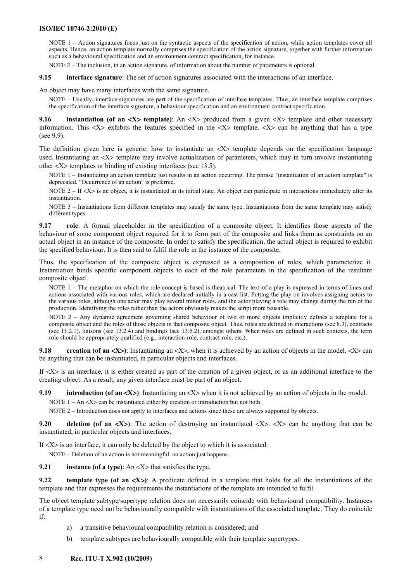NOTE 1 – Action signatures focus just on the syntactic aspects of the specification of action, while action templates cover all aspects. Hence, an action template normally comprises the specification of the action signature, together with further information such as a behavioural specification and an environment contract specification, for instance.

NOTE 2 – The inclusion, in an action signature, of information about the number of parameters is optional.

**9.15** interface signature: The set of action signatures associated with the interactions of an interface.

An object may have many interfaces with the same signature.

NOTE – Usually, interface signatures are part of the specification of interface templates. Thus, an interface template comprises the specification of the interface signature, a behaviour specification and an environment contract specification.

**9.16** instantiation (of an  $\langle X \rangle$  template): An  $\langle X \rangle$  produced from a given  $\langle X \rangle$  template and other necessary information. This  $\langle X \rangle$  exhibits the features specified in the  $\langle X \rangle$  template.  $\langle X \rangle$  can be anything that has a type (see 9.9).

The definition given here is generic: how to instantiate an <X> template depends on the specification language used. Instantiating an <X> template may involve actualization of parameters, which may in turn involve instantiating other <X> templates or binding of existing interfaces (see 13.5).

NOTE 1 – Instantiating an action template just results in an action occurring. The phrase "instantiation of an action template" is deprecated. "Occurrence of an action" is preferred.

NOTE  $2 - If  $\langle X \rangle$  is an object, it is instantiated in its initial state. An object can participate in interactions immediately after its$ instantiation.

NOTE 3 – Instantiations from different templates may satisfy the same type. Instantiations from the same template may satisfy different types.

**9.17 role**: A formal placeholder in the specification of a composite object. It identifies those aspects of the behaviour of some component object required for it to form part of the composite and links them as constraints on an actual object in an instance of the composite. In order to satisfy the specification, the actual object is required to exhibit the specified behaviour. It is then said to fulfil the role in the instance of the composite.

Thus, the specification of the composite object is expressed as a composition of roles, which parameterize it. Instantiation binds specific component objects to each of the role parameters in the specification of the resultant composite object.

NOTE 1 – The metaphor on which the role concept is based is theatrical. The text of a play is expressed in terms of lines and actions associated with various roles, which are declared initially in a cast-list. Putting the play on involves assigning actors to the various roles, although one actor may play several minor roles, and the actor playing a role may change during the run of the production. Identifying the roles rather than the actors obviously makes the script more reusable.

NOTE 2 – Any dynamic agreement governing shared behaviour of two or more objects implicitly defines a template for a composite object and the roles of those objects in that composite object. Thus, roles are defined in interactions (see 8.3), contracts (see 11.2.1), liaisons (see 13.2.4) and bindings (see 13.5.2), amongst others. When roles are defined in such contexts, the term role should be appropriately qualified (e.g., interaction-role, contract-role, etc.).

**9.18** creation (of an  $\langle X \rangle$ ): Instantiating an  $\langle X \rangle$ , when it is achieved by an action of objects in the model.  $\langle X \rangle$  can be anything that can be instantiated, in particular objects and interfaces.

If  $\langle X \rangle$  is an interface, it is either created as part of the creation of a given object, or as an additional interface to the creating object. As a result, any given interface must be part of an object.

**9.19** introduction (of an  $\langle X \rangle$ ): Instantiating an  $\langle X \rangle$  when it is not achieved by an action of objects in the model.

NOTE  $1 - An < X > can$  be instantiated either by creation or introduction but not both.

NOTE 2 – Introduction does not apply to interfaces and actions since these are always supported by objects.

**9.20 deletion (of an**  $\langle$ **<b>X** $\rangle$ ): The action of destroying an instantiated  $\langle$ X $\rangle$ .  $\langle$ X $\rangle$  can be anything that can be instantiated, in particular objects and interfaces.

If  $\langle X \rangle$  is an interface, it can only be deleted by the object to which it is associated.

NOTE – Deletion of an action is not meaningful: an action just happens.

**9.21 instance (of a type)**: An <X> that satisfies the type.

**9.22** template type (of an  $\langle X \rangle$ ): A predicate defined in a template that holds for all the instantiations of the template and that expresses the requirements the instantiations of the template are intended to fulfil.

The object template subtype/supertype relation does not necessarily coincide with behavioural compatibility. Instances of a template type need not be behaviourally compatible with instantiations of the associated template. They do coincide if:

- a) a transitive behavioural compatibility relation is considered; and
- b) template subtypes are behaviourally compatible with their template supertypes.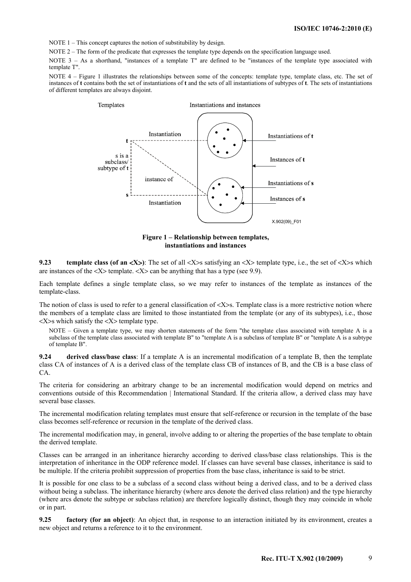NOTE 1 – This concept captures the notion of substitubility by design.

NOTE 2 – The form of the predicate that expresses the template type depends on the specification language used.

NOTE 3 – As a shorthand, "instances of a template T" are defined to be "instances of the template type associated with template T".

NOTE 4 – Figure 1 illustrates the relationships between some of the concepts: template type, template class, etc. The set of instances of **t** contains both the set of instantiations of **t** and the sets of all instantiations of subtypes of **t**. The sets of instantiations of different templates are always disjoint.



**Figure 1 – Relationship between templates, instantiations and instances** 

**9.23** template class (of an  $\langle X \rangle$ ): The set of all  $\langle X \rangle$ s satisfying an  $\langle X \rangle$  template type, i.e., the set of  $\langle X \rangle$ s which are instances of the  $\langle X \rangle$  template.  $\langle X \rangle$  can be anything that has a type (see 9.9).

Each template defines a single template class, so we may refer to instances of the template as instances of the template-class.

The notion of class is used to refer to a general classification of <X>s. Template class is a more restrictive notion where the members of a template class are limited to those instantiated from the template (or any of its subtypes), i.e., those <X>s which satisfy the <X> template type.

NOTE – Given a template type, we may shorten statements of the form "the template class associated with template A is a subclass of the template class associated with template B" to "template A is a subclass of template B" or "template A is a subtype of template B".

**9.24 derived class/base class**: If a template A is an incremental modification of a template B, then the template class CA of instances of A is a derived class of the template class CB of instances of B, and the CB is a base class of CA.

The criteria for considering an arbitrary change to be an incremental modification would depend on metrics and conventions outside of this Recommendation | International Standard. If the criteria allow, a derived class may have several base classes.

The incremental modification relating templates must ensure that self-reference or recursion in the template of the base class becomes self-reference or recursion in the template of the derived class.

The incremental modification may, in general, involve adding to or altering the properties of the base template to obtain the derived template.

Classes can be arranged in an inheritance hierarchy according to derived class/base class relationships. This is the interpretation of inheritance in the ODP reference model. If classes can have several base classes, inheritance is said to be multiple. If the criteria prohibit suppression of properties from the base class, inheritance is said to be strict.

It is possible for one class to be a subclass of a second class without being a derived class, and to be a derived class without being a subclass. The inheritance hierarchy (where arcs denote the derived class relation) and the type hierarchy (where arcs denote the subtype or subclass relation) are therefore logically distinct, though they may coincide in whole or in part.

**9.25 factory (for an object)**: An object that, in response to an interaction initiated by its environment, creates a new object and returns a reference to it to the environment.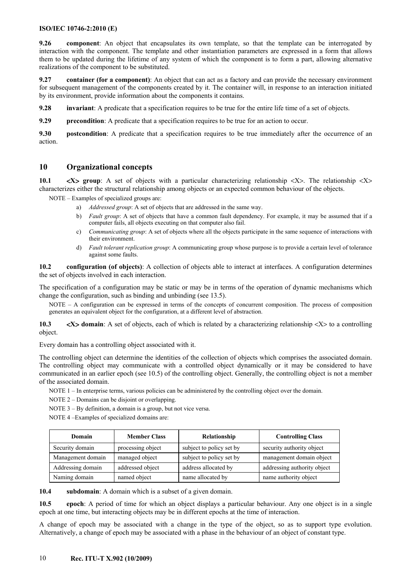**9.26 component**: An object that encapsulates its own template, so that the template can be interrogated by interaction with the component. The template and other instantiation parameters are expressed in a form that allows them to be updated during the lifetime of any system of which the component is to form a part, allowing alternative realizations of the component to be substituted.

**9.27 container (for a component)**: An object that can act as a factory and can provide the necessary environment for subsequent management of the components created by it. The container will, in response to an interaction initiated by its environment, provide information about the components it contains.

**9.28** invariant: A predicate that a specification requires to be true for the entire life time of a set of objects.

**9.29 precondition**: A predicate that a specification requires to be true for an action to occur.

**9.30 postcondition**: A predicate that a specification requires to be true immediately after the occurrence of an action.

# **10 Organizational concepts**

**10.1**  $\langle X \rangle$  **group:** A set of objects with a particular characterizing relationship  $\langle X \rangle$ . The relationship  $\langle X \rangle$ characterizes either the structural relationship among objects or an expected common behaviour of the objects.

NOTE – Examples of specialized groups are:

- a) *Addressed group*: A set of objects that are addressed in the same way.
- b) *Fault group*: A set of objects that have a common fault dependency. For example, it may be assumed that if a computer fails, all objects executing on that computer also fail.
- c) *Communicating group*: A set of objects where all the objects participate in the same sequence of interactions with their environment.
- d) *Fault tolerant replication group*: A communicating group whose purpose is to provide a certain level of tolerance against some faults.

**10.2** configuration (of objects): A collection of objects able to interact at interfaces. A configuration determines the set of objects involved in each interaction.

The specification of a configuration may be static or may be in terms of the operation of dynamic mechanisms which change the configuration, such as binding and unbinding (see 13.5).

NOTE – A configuration can be expressed in terms of the concepts of concurrent composition. The process of composition generates an equivalent object for the configuration, at a different level of abstraction.

**10.3**  $\langle X \rangle$  domain: A set of objects, each of which is related by a characterizing relationship  $\langle X \rangle$  to a controlling object.

Every domain has a controlling object associated with it.

The controlling object can determine the identities of the collection of objects which comprises the associated domain. The controlling object may communicate with a controlled object dynamically or it may be considered to have communicated in an earlier epoch (see 10.5) of the controlling object. Generally, the controlling object is not a member of the associated domain.

NOTE 1 – In enterprise terms, various policies can be administered by the controlling object over the domain.

NOTE 2 – Domains can be disjoint or overlapping.

NOTE 3 – By definition, a domain is a group, but not vice versa.

NOTE 4 –Examples of specialized domains are:

| <b>Domain</b>     | <b>Member Class</b> | Relationship             | <b>Controlling Class</b>    |
|-------------------|---------------------|--------------------------|-----------------------------|
| Security domain   | processing object   | subject to policy set by | security authority object   |
| Management domain | managed object      | subject to policy set by | management domain object    |
| Addressing domain | addressed object    | address allocated by     | addressing authority object |
| Naming domain     | named object        | name allocated by        | name authority object       |

**10.4 subdomain**: A domain which is a subset of a given domain.

**10.5 epoch**: A period of time for which an object displays a particular behaviour. Any one object is in a single epoch at one time, but interacting objects may be in different epochs at the time of interaction.

A change of epoch may be associated with a change in the type of the object, so as to support type evolution. Alternatively, a change of epoch may be associated with a phase in the behaviour of an object of constant type.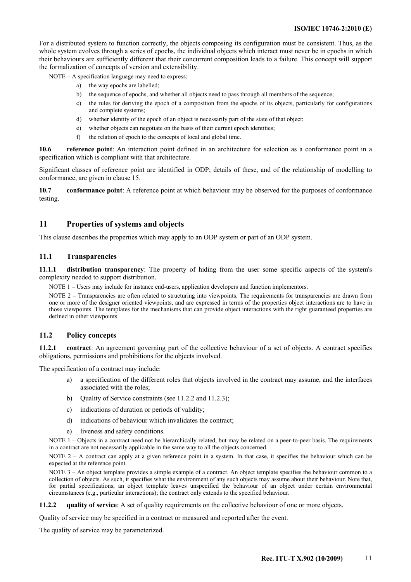For a distributed system to function correctly, the objects composing its configuration must be consistent. Thus, as the whole system evolves through a series of epochs, the individual objects which interact must never be in epochs in which their behaviours are sufficiently different that their concurrent composition leads to a failure. This concept will support the formalization of concepts of version and extensibility.

NOTE – A specification language may need to express:

- a) the way epochs are labelled;
- b) the sequence of epochs, and whether all objects need to pass through all members of the sequence;
- c) the rules for deriving the epoch of a composition from the epochs of its objects, particularly for configurations and complete systems;
- d) whether identity of the epoch of an object is necessarily part of the state of that object;
- e) whether objects can negotiate on the basis of their current epoch identities;
- f) the relation of epoch to the concepts of local and global time.

**10.6 reference point**: An interaction point defined in an architecture for selection as a conformance point in a specification which is compliant with that architecture.

Significant classes of reference point are identified in ODP; details of these, and of the relationship of modelling to conformance, are given in clause 15.

**10.7 conformance point**: A reference point at which behaviour may be observed for the purposes of conformance testing.

# **11 Properties of systems and objects**

This clause describes the properties which may apply to an ODP system or part of an ODP system.

#### **11.1 Transparencies**

**11.1.1 distribution transparency**: The property of hiding from the user some specific aspects of the system's complexity needed to support distribution.

NOTE 1 – Users may include for instance end-users, application developers and function implementors.

NOTE 2 – Transparencies are often related to structuring into viewpoints. The requirements for transparencies are drawn from one or more of the designer oriented viewpoints, and are expressed in terms of the properties object interactions are to have in those viewpoints. The templates for the mechanisms that can provide object interactions with the right guaranteed properties are defined in other viewpoints.

#### **11.2 Policy concepts**

**11.2.1 contract**: An agreement governing part of the collective behaviour of a set of objects. A contract specifies obligations, permissions and prohibitions for the objects involved.

The specification of a contract may include:

- a) a specification of the different roles that objects involved in the contract may assume, and the interfaces associated with the roles;
- b) Ouality of Service constraints (see 11.2.2 and 11.2.3):
- c) indications of duration or periods of validity;
- d) indications of behaviour which invalidates the contract;
- e) liveness and safety conditions.

NOTE 1 – Objects in a contract need not be hierarchically related, but may be related on a peer-to-peer basis. The requirements in a contract are not necessarily applicable in the same way to all the objects concerned.

NOTE 2 – A contract can apply at a given reference point in a system. In that case, it specifies the behaviour which can be expected at the reference point.

NOTE 3 – An object template provides a simple example of a contract. An object template specifies the behaviour common to a collection of objects. As such, it specifies what the environment of any such objects may assume about their behaviour. Note that, for partial specifications, an object template leaves unspecified the behaviour of an object under certain environmental circumstances (e.g., particular interactions); the contract only extends to the specified behaviour.

**11.2.2 quality of service**: A set of quality requirements on the collective behaviour of one or more objects.

Quality of service may be specified in a contract or measured and reported after the event.

The quality of service may be parameterized.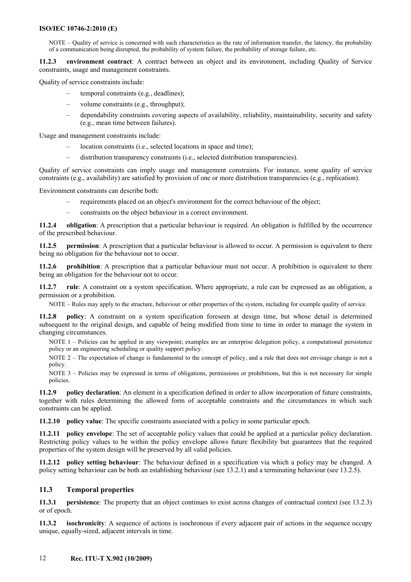NOTE – Quality of service is concerned with such characteristics as the rate of information transfer, the latency, the probability of a communication being disrupted, the probability of system failure, the probability of storage failure, etc.

**11.2.3 environment contract**: A contract between an object and its environment, including Quality of Service constraints, usage and management constraints.

Quality of service constraints include:

- temporal constraints (e.g., deadlines);
- volume constraints (e.g., throughput);
- dependability constraints covering aspects of availability, reliability, maintainability, security and safety (e.g., mean time between failures).

Usage and management constraints include:

- location constraints (i.e., selected locations in space and time);
- distribution transparency constraints (i.e., selected distribution transparencies).

Quality of service constraints can imply usage and management constraints. For instance, some quality of service constraints (e.g., availability) are satisfied by provision of one or more distribution transparencies (e.g., replication).

Environment constraints can describe both:

- requirements placed on an object's environment for the correct behaviour of the object;
- constraints on the object behaviour in a correct environment.

**11.2.4 obligation**: A prescription that a particular behaviour is required. An obligation is fulfilled by the occurrence of the prescribed behaviour.

**11.2.5 permission**: A prescription that a particular behaviour is allowed to occur. A permission is equivalent to there being no obligation for the behaviour not to occur.

**11.2.6 prohibition**: A prescription that a particular behaviour must not occur. A prohibition is equivalent to there being an obligation for the behaviour not to occur.

**11.2.7 rule**: A constraint on a system specification. Where appropriate, a rule can be expressed as an obligation, a permission or a prohibition.

NOTE – Rules may apply to the structure, behaviour or other properties of the system, including for example quality of service.

**11.2.8 policy**: A constraint on a system specification foreseen at design time, but whose detail is determined subsequent to the original design, and capable of being modified from time to time in order to manage the system in changing circumstances.

NOTE 1 – Policies can be applied in any viewpoint; examples are an enterprise delegation policy, a computational persistence policy or an engineering scheduling or quality support policy.

NOTE 2 – The expectation of change is fundamental to the concept of policy, and a rule that does not envisage change is not a policy.

NOTE 3 – Policies may be expressed in terms of obligations, permissions or prohibitions, but this is not necessary for simple policies.

**11.2.9 policy declaration**: An element in a specification defined in order to allow incorporation of future constraints, together with rules determining the allowed form of acceptable constraints and the circumstances in which such constraints can be applied.

**11.2.10 policy value**: The specific constraints associated with a policy in some particular epoch.

**11.2.11 policy envelope**: The set of acceptable policy values that could be applied at a particular policy declaration. Restricting policy values to be within the policy envelope allows future flexibility but guarantees that the required properties of the system design will be preserved by all valid policies.

**11.2.12 policy setting behaviour**: The behaviour defined in a specification via which a policy may be changed. A policy setting behaviour can be both an establishing behaviour (see 13.2.1) and a terminating behaviour (see 13.2.5).

#### **11.3 Temporal properties**

**11.3.1 persistence**: The property that an object continues to exist across changes of contractual context (see 13.2.3) or of epoch.

**11.3.2 isochronicity**: A sequence of actions is isochronous if every adjacent pair of actions in the sequence occupy unique, equally-sized, adjacent intervals in time.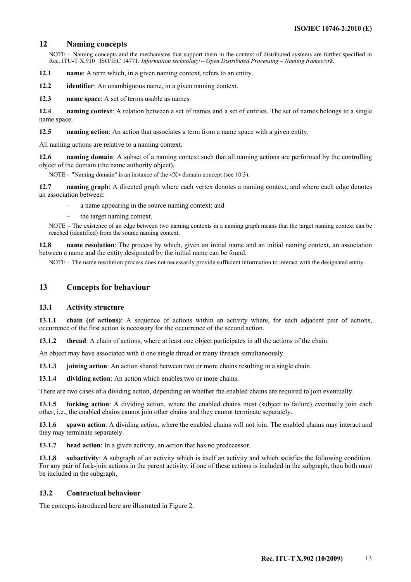#### **12 Naming concepts**

NOTE – Naming concepts and the mechanisms that support them in the context of distributed systems are further specified in Rec. ITU-T X.910 | ISO/IEC 14771, *Information technology – Open Distributed Processing – Naming framework*.

**12.1 name**: A term which, in a given naming context, refers to an entity.

**12.2 identifier**: An unambiguous name, in a given naming context.

**12.3 name space**: A set of terms usable as names.

**12.4 naming context**: A relation between a set of names and a set of entities. The set of names belongs to a single name space.

**12.5 naming action**: An action that associates a term from a name space with a given entity.

All naming actions are relative to a naming context.

**12.6 naming domain**: A subset of a naming context such that all naming actions are performed by the controlling object of the domain (the name authority object).

NOTE – "Naming domain" is an instance of the <X> domain concept (see 10.3).

**12.7 naming graph**: A directed graph where each vertex denotes a naming context, and where each edge denotes an association between:

- a name appearing in the source naming context; and
- the target naming context.

NOTE – The existence of an edge between two naming contexts in a naming graph means that the target naming context can be reached (identified) from the source naming context.

**12.8 name resolution**: The process by which, given an initial name and an initial naming context, an association between a name and the entity designated by the initial name can be found.

NOTE – The name resolution process does not necessarily provide sufficient information to interact with the designated entity.

#### **13 Concepts for behaviour**

#### **13.1 Activity structure**

**13.1.1 chain (of actions)**: A sequence of actions within an activity where, for each adjacent pair of actions, occurrence of the first action is necessary for the occurrence of the second action.

**13.1.2 thread**: A chain of actions, where at least one object participates in all the actions of the chain.

An object may have associated with it one single thread or many threads simultaneously.

**13.1.3 joining action**: An action shared between two or more chains resulting in a single chain.

**13.1.4 dividing action**: An action which enables two or more chains.

There are two cases of a dividing action, depending on whether the enabled chains are required to join eventually.

**13.1.5 forking action**: A dividing action, where the enabled chains must (subject to failure) eventually join each other, i.e., the enabled chains cannot join other chains and they cannot terminate separately.

**13.1.6 spawn action**: A dividing action, where the enabled chains will not join. The enabled chains may interact and they may terminate separately.

**13.1.7 head action**: In a given activity, an action that has no predecessor.

**13.1.8 subactivity**: A subgraph of an activity which is itself an activity and which satisfies the following condition. For any pair of fork-join actions in the parent activity, if one of these actions is included in the subgraph, then both must be included in the subgraph.

#### **13.2 Contractual behaviour**

The concepts introduced here are illustrated in Figure 2.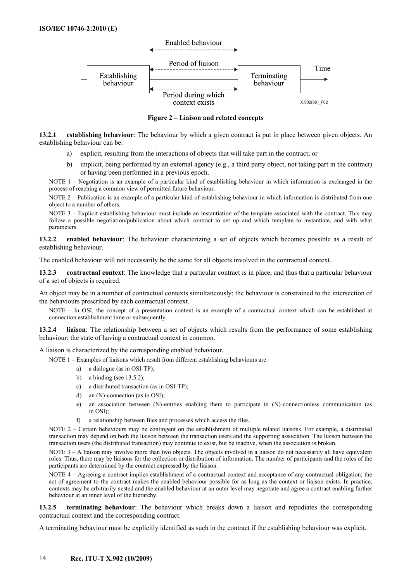

**Figure 2 – Liaison and related concepts** 

**13.2.1 establishing behaviour**: The behaviour by which a given contract is put in place between given objects. An establishing behaviour can be:

- a) explicit, resulting from the interactions of objects that will take part in the contract; or
- implicit, being performed by an external agency (e.g., a third party object, not taking part in the contract) or having been performed in a previous epoch.

NOTE 1 – Negotiation is an example of a particular kind of establishing behaviour in which information is exchanged in the process of reaching a common view of permitted future behaviour.

NOTE 2 – Publication is an example of a particular kind of establishing behaviour in which information is distributed from one object to a number of others.

NOTE 3 – Explicit establishing behaviour must include an instantiation of the template associated with the contract. This may follow a possible negotiation/publication about which contract to set up and which template to instantiate, and with what parameters.

**13.2.2 enabled behaviour**: The behaviour characterizing a set of objects which becomes possible as a result of establishing behaviour.

The enabled behaviour will not necessarily be the same for all objects involved in the contractual context.

**13.2.3 contractual context**: The knowledge that a particular contract is in place, and thus that a particular behaviour of a set of objects is required.

An object may be in a number of contractual contexts simultaneously; the behaviour is constrained to the intersection of the behaviours prescribed by each contractual context.

NOTE – In OSI, the concept of a presentation context is an example of a contractual context which can be established at connection establishment time or subsequently.

**13.2.4 liaison**: The relationship between a set of objects which results from the performance of some establishing behaviour; the state of having a contractual context in common.

A liaison is characterized by the corresponding enabled behaviour.

NOTE 1 – Examples of liaisons which result from different establishing behaviours are:

- a) a dialogue (as in OSI-TP);
- b) a binding (see 13.5.2);
- c) a distributed transaction (as in OSI-TP);
- d) an (N)-connection (as in OSI);
- e) an association between (N)-entities enabling them to participate in (N)-connectionless communication (as in OSI);
- f) a relationship between files and processes which access the files.

NOTE 2 – Certain behaviours may be contingent on the establishment of multiple related liaisons. For example, a distributed transaction may depend on both the liaison between the transaction users and the supporting association. The liaison between the transaction users (the distributed transaction) may continue to exist, but be inactive, when the association is broken.

NOTE 3 – A liaison may involve more than two objects. The objects involved in a liaison do not necessarily all have equivalent roles. Thus, there may be liaisons for the collection or distribution of information. The number of participants and the roles of the participants are determined by the contract expressed by the liaison.

NOTE 4 – Agreeing a contract implies establishment of a contractual context and acceptance of any contractual obligation; the act of agreement to the contract makes the enabled behaviour possible for as long as the context or liaison exists. In practice, contexts may be arbitrarily nested and the enabled behaviour at an outer level may negotiate and agree a contract enabling further behaviour at an inner level of the hierarchy.

**13.2.5 terminating behaviour**: The behaviour which breaks down a liaison and repudiates the corresponding contractual context and the corresponding contract.

A terminating behaviour must be explicitly identified as such in the contract if the establishing behaviour was explicit.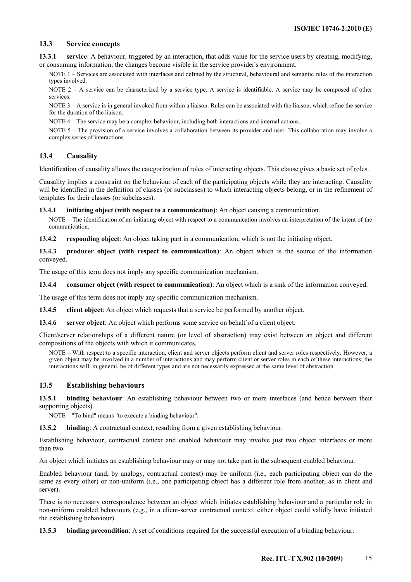#### **13.3 Service concepts**

**13.3.1 service**: A behaviour, triggered by an interaction, that adds value for the service users by creating, modifying, or consuming information; the changes become visible in the service provider's environment.

NOTE 1 – Services are associated with interfaces and defined by the structural, behavioural and semantic rules of the interaction types involved.

NOTE 2 – A service can be characterized by a service type. A service is identifiable. A service may be composed of other services.

NOTE 3 – A service is in general invoked from within a liaison. Rules can be associated with the liaison, which refine the service for the duration of the liaison.

NOTE 4 – The service may be a complex behaviour, including both interactions and internal actions.

NOTE 5 – The provision of a service involves a collaboration between its provider and user. This collaboration may involve a complex series of interactions.

#### **13.4 Causality**

Identification of causality allows the categorization of roles of interacting objects. This clause gives a basic set of roles.

Causality implies a constraint on the behaviour of each of the participating objects while they are interacting. Causality will be identified in the definition of classes (or subclasses) to which interacting objects belong, or in the refinement of templates for their classes (or subclasses).

**13.4.1 initiating object (with respect to a communication)**: An object causing a communication.

NOTE – The identification of an initiating object with respect to a communication involves an interpretation of the intent of the communication.

**13.4.2 responding object**: An object taking part in a communication, which is not the initiating object.

**13.4.3 producer object (with respect to communication)**: An object which is the source of the information conveyed.

The usage of this term does not imply any specific communication mechanism.

**13.4.4 consumer object (with respect to communication)**: An object which is a sink of the information conveyed.

The usage of this term does not imply any specific communication mechanism.

**13.4.5** client object: An object which requests that a service be performed by another object.

**13.4.6 server object**: An object which performs some service on behalf of a client object.

Client/server relationships of a different nature (or level of abstraction) may exist between an object and different compositions of the objects with which it communicates.

NOTE – With respect to a specific interaction, client and server objects perform client and server roles respectively. However, a given object may be involved in a number of interactions and may perform client or server roles in each of these interactions; the interactions will, in general, be of different types and are not necessarily expressed at the same level of abstraction.

#### **13.5 Establishing behaviours**

**13.5.1 binding behaviour**: An establishing behaviour between two or more interfaces (and hence between their supporting objects).

NOTE – "To bind" means "to execute a binding behaviour".

**13.5.2** binding: A contractual context, resulting from a given establishing behaviour.

Establishing behaviour, contractual context and enabled behaviour may involve just two object interfaces or more than two.

An object which initiates an establishing behaviour may or may not take part in the subsequent enabled behaviour.

Enabled behaviour (and, by analogy, contractual context) may be uniform (i.e., each participating object can do the same as every other) or non-uniform (i.e., one participating object has a different role from another, as in client and server).

There is no necessary correspondence between an object which initiates establishing behaviour and a particular role in non-uniform enabled behaviours (e.g., in a client-server contractual context, either object could validly have initiated the establishing behaviour).

**13.5.3 binding precondition**: A set of conditions required for the successful execution of a binding behaviour.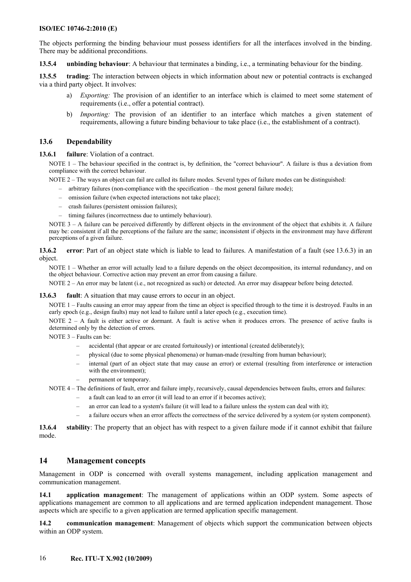The objects performing the binding behaviour must possess identifiers for all the interfaces involved in the binding. There may be additional preconditions.

**13.5.4 unbinding behaviour**: A behaviour that terminates a binding, i.e., a terminating behaviour for the binding.

**13.5.5 trading**: The interaction between objects in which information about new or potential contracts is exchanged via a third party object. It involves:

- a) *Exporting:* The provision of an identifier to an interface which is claimed to meet some statement of requirements (i.e., offer a potential contract).
- b) *Importing:* The provision of an identifier to an interface which matches a given statement of requirements, allowing a future binding behaviour to take place (i.e., the establishment of a contract).

#### **13.6 Dependability**

**13.6.1 failure**: Violation of a contract.

NOTE 1 – The behaviour specified in the contract is, by definition, the "correct behaviour". A failure is thus a deviation from compliance with the correct behaviour.

NOTE 2 – The ways an object can fail are called its failure modes. Several types of failure modes can be distinguished:

- arbitrary failures (non-compliance with the specification the most general failure mode);
- omission failure (when expected interactions not take place);
- crash failures (persistent omission failures);
- timing failures (incorrectness due to untimely behaviour).

NOTE 3 – A failure can be perceived differently by different objects in the environment of the object that exhibits it. A failure may be: consistent if all the perceptions of the failure are the same; inconsistent if objects in the environment may have different perceptions of a given failure.

**13.6.2** error: Part of an object state which is liable to lead to failures. A manifestation of a fault (see 13.6.3) in an object.

NOTE 1 – Whether an error will actually lead to a failure depends on the object decomposition, its internal redundancy, and on the object behaviour. Corrective action may prevent an error from causing a failure.

NOTE 2 – An error may be latent (i.e., not recognized as such) or detected. An error may disappear before being detected.

**13.6.3 fault**: A situation that may cause errors to occur in an object.

NOTE 1 – Faults causing an error may appear from the time an object is specified through to the time it is destroyed. Faults in an early epoch (e.g., design faults) may not lead to failure until a later epoch (e.g., execution time).

NOTE 2 – A fault is either active or dormant. A fault is active when it produces errors. The presence of active faults is determined only by the detection of errors.

NOTE 3 – Faults can be:

- accidental (that appear or are created fortuitously) or intentional (created deliberately);
- physical (due to some physical phenomena) or human-made (resulting from human behaviour);
- internal (part of an object state that may cause an error) or external (resulting from interference or interaction with the environment);
- permanent or temporary.

NOTE 4 – The definitions of fault, error and failure imply, recursively, causal dependencies between faults, errors and failures:

- a fault can lead to an error (it will lead to an error if it becomes active);
- an error can lead to a system's failure (it will lead to a failure unless the system can deal with it);
- a failure occurs when an error affects the correctness of the service delivered by a system (or system component).

**13.6.4** stability: The property that an object has with respect to a given failure mode if it cannot exhibit that failure mode.

#### **14 Management concepts**

Management in ODP is concerned with overall systems management, including application management and communication management.

**14.1 application management**: The management of applications within an ODP system. Some aspects of applications management are common to all applications and are termed application independent management. Those aspects which are specific to a given application are termed application specific management.

**14.2 communication management**: Management of objects which support the communication between objects within an ODP system.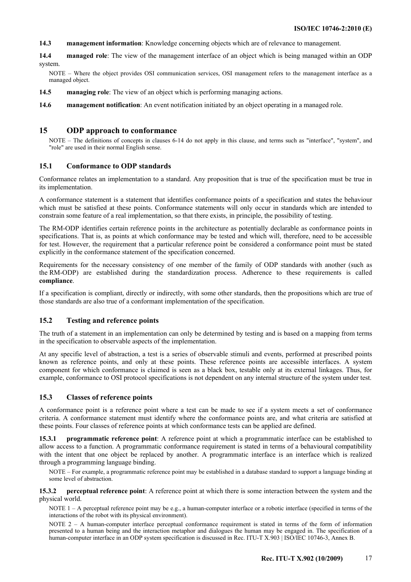**14.3 management information**: Knowledge concerning objects which are of relevance to management.

**14.4 managed role**: The view of the management interface of an object which is being managed within an ODP system.

NOTE – Where the object provides OSI communication services, OSI management refers to the management interface as a managed object.

**14.5** managing role: The view of an object which is performing managing actions.

**14.6 management notification**: An event notification initiated by an object operating in a managed role.

#### **15 ODP approach to conformance**

NOTE – The definitions of concepts in clauses 6-14 do not apply in this clause, and terms such as "interface", "system", and "role" are used in their normal English sense.

#### **15.1 Conformance to ODP standards**

Conformance relates an implementation to a standard. Any proposition that is true of the specification must be true in its implementation.

A conformance statement is a statement that identifies conformance points of a specification and states the behaviour which must be satisfied at these points. Conformance statements will only occur in standards which are intended to constrain some feature of a real implementation, so that there exists, in principle, the possibility of testing.

The RM-ODP identifies certain reference points in the architecture as potentially declarable as conformance points in specifications. That is, as points at which conformance may be tested and which will, therefore, need to be accessible for test. However, the requirement that a particular reference point be considered a conformance point must be stated explicitly in the conformance statement of the specification concerned.

Requirements for the necessary consistency of one member of the family of ODP standards with another (such as the RM-ODP) are established during the standardization process. Adherence to these requirements is called **compliance**.

If a specification is compliant, directly or indirectly, with some other standards, then the propositions which are true of those standards are also true of a conformant implementation of the specification.

#### **15.2 Testing and reference points**

The truth of a statement in an implementation can only be determined by testing and is based on a mapping from terms in the specification to observable aspects of the implementation.

At any specific level of abstraction, a test is a series of observable stimuli and events, performed at prescribed points known as reference points, and only at these points. These reference points are accessible interfaces. A system component for which conformance is claimed is seen as a black box, testable only at its external linkages. Thus, for example, conformance to OSI protocol specifications is not dependent on any internal structure of the system under test.

#### **15.3 Classes of reference points**

A conformance point is a reference point where a test can be made to see if a system meets a set of conformance criteria. A conformance statement must identify where the conformance points are, and what criteria are satisfied at these points. Four classes of reference points at which conformance tests can be applied are defined.

**15.3.1 programmatic reference point**: A reference point at which a programmatic interface can be established to allow access to a function. A programmatic conformance requirement is stated in terms of a behavioural compatibility with the intent that one object be replaced by another. A programmatic interface is an interface which is realized through a programming language binding.

NOTE – For example, a programmatic reference point may be established in a database standard to support a language binding at some level of abstraction.

**15.3.2 perceptual reference point**: A reference point at which there is some interaction between the system and the physical world.

NOTE  $1 - A$  perceptual reference point may be e.g., a human-computer interface or a robotic interface (specified in terms of the interactions of the robot with its physical environment).

NOTE 2 – A human-computer interface perceptual conformance requirement is stated in terms of the form of information presented to a human being and the interaction metaphor and dialogues the human may be engaged in. The specification of a human-computer interface in an ODP system specification is discussed in Rec. ITU-T X.903 | ISO/IEC 10746-3, Annex B.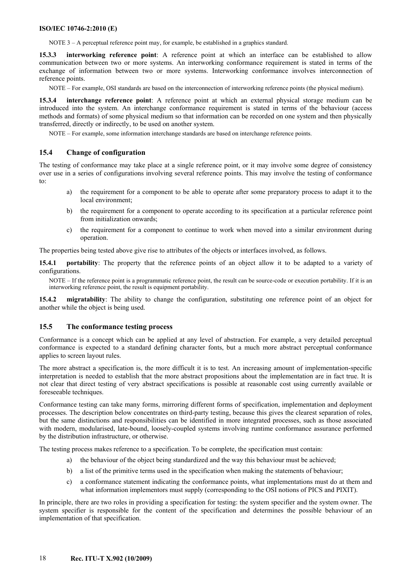NOTE 3 – A perceptual reference point may, for example, be established in a graphics standard.

**15.3.3 interworking reference point**: A reference point at which an interface can be established to allow communication between two or more systems. An interworking conformance requirement is stated in terms of the exchange of information between two or more systems. Interworking conformance involves interconnection of reference points.

NOTE – For example, OSI standards are based on the interconnection of interworking reference points (the physical medium).

**15.3.4 interchange reference point**: A reference point at which an external physical storage medium can be introduced into the system. An interchange conformance requirement is stated in terms of the behaviour (access methods and formats) of some physical medium so that information can be recorded on one system and then physically transferred, directly or indirectly, to be used on another system.

NOTE – For example, some information interchange standards are based on interchange reference points.

#### **15.4 Change of configuration**

The testing of conformance may take place at a single reference point, or it may involve some degree of consistency over use in a series of configurations involving several reference points. This may involve the testing of conformance to:

- a) the requirement for a component to be able to operate after some preparatory process to adapt it to the local environment;
- b) the requirement for a component to operate according to its specification at a particular reference point from initialization onwards;
- c) the requirement for a component to continue to work when moved into a similar environment during operation.

The properties being tested above give rise to attributes of the objects or interfaces involved, as follows.

**15.4.1 portability**: The property that the reference points of an object allow it to be adapted to a variety of configurations.

NOTE – If the reference point is a programmatic reference point, the result can be source-code or execution portability. If it is an interworking reference point, the result is equipment portability.

**15.4.2 migratability**: The ability to change the configuration, substituting one reference point of an object for another while the object is being used.

#### **15.5 The conformance testing process**

Conformance is a concept which can be applied at any level of abstraction. For example, a very detailed perceptual conformance is expected to a standard defining character fonts, but a much more abstract perceptual conformance applies to screen layout rules.

The more abstract a specification is, the more difficult it is to test. An increasing amount of implementation-specific interpretation is needed to establish that the more abstract propositions about the implementation are in fact true. It is not clear that direct testing of very abstract specifications is possible at reasonable cost using currently available or foreseeable techniques.

Conformance testing can take many forms, mirroring different forms of specification, implementation and deployment processes. The description below concentrates on third-party testing, because this gives the clearest separation of roles, but the same distinctions and responsibilities can be identified in more integrated processes, such as those associated with modern, modularised, late-bound, loosely-coupled systems involving runtime conformance assurance performed by the distribution infrastructure, or otherwise.

The testing process makes reference to a specification. To be complete, the specification must contain:

- a) the behaviour of the object being standardized and the way this behaviour must be achieved;
- b) a list of the primitive terms used in the specification when making the statements of behaviour;
- c) a conformance statement indicating the conformance points, what implementations must do at them and what information implementors must supply (corresponding to the OSI notions of PICS and PIXIT).

In principle, there are two roles in providing a specification for testing: the system specifier and the system owner. The system specifier is responsible for the content of the specification and determines the possible behaviour of an implementation of that specification.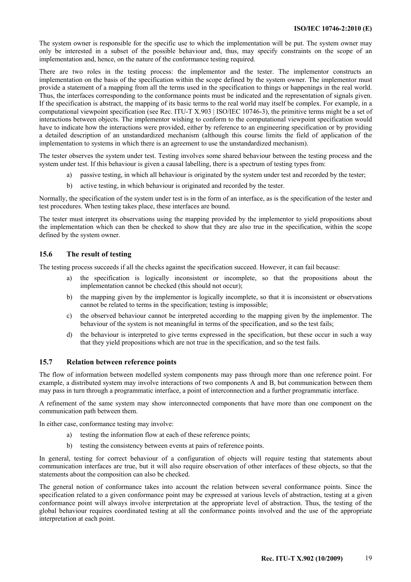The system owner is responsible for the specific use to which the implementation will be put. The system owner may only be interested in a subset of the possible behaviour and, thus, may specify constraints on the scope of an implementation and, hence, on the nature of the conformance testing required.

There are two roles in the testing process: the implementor and the tester. The implementor constructs an implementation on the basis of the specification within the scope defined by the system owner. The implementor must provide a statement of a mapping from all the terms used in the specification to things or happenings in the real world. Thus, the interfaces corresponding to the conformance points must be indicated and the representation of signals given. If the specification is abstract, the mapping of its basic terms to the real world may itself be complex. For example, in a computational viewpoint specification (see Rec. ITU-T X.903 | ISO/IEC 10746-3), the primitive terms might be a set of interactions between objects. The implementor wishing to conform to the computational viewpoint specification would have to indicate how the interactions were provided, either by reference to an engineering specification or by providing a detailed description of an unstandardized mechanism (although this course limits the field of application of the implementation to systems in which there is an agreement to use the unstandardized mechanism).

The tester observes the system under test. Testing involves some shared behaviour between the testing process and the system under test. If this behaviour is given a causal labelling, there is a spectrum of testing types from:

- a) passive testing, in which all behaviour is originated by the system under test and recorded by the tester;
- b) active testing, in which behaviour is originated and recorded by the tester.

Normally, the specification of the system under test is in the form of an interface, as is the specification of the tester and test procedures. When testing takes place, these interfaces are bound.

The tester must interpret its observations using the mapping provided by the implementor to yield propositions about the implementation which can then be checked to show that they are also true in the specification, within the scope defined by the system owner.

#### **15.6 The result of testing**

The testing process succeeds if all the checks against the specification succeed. However, it can fail because:

- a) the specification is logically inconsistent or incomplete, so that the propositions about the implementation cannot be checked (this should not occur);
- b) the mapping given by the implementor is logically incomplete, so that it is inconsistent or observations cannot be related to terms in the specification; testing is impossible;
- c) the observed behaviour cannot be interpreted according to the mapping given by the implementor. The behaviour of the system is not meaningful in terms of the specification, and so the test fails;
- d) the behaviour is interpreted to give terms expressed in the specification, but these occur in such a way that they yield propositions which are not true in the specification, and so the test fails.

#### **15.7 Relation between reference points**

The flow of information between modelled system components may pass through more than one reference point. For example, a distributed system may involve interactions of two components A and B, but communication between them may pass in turn through a programmatic interface, a point of interconnection and a further programmatic interface.

A refinement of the same system may show interconnected components that have more than one component on the communication path between them.

In either case, conformance testing may involve:

- a) testing the information flow at each of these reference points;
- b) testing the consistency between events at pairs of reference points.

In general, testing for correct behaviour of a configuration of objects will require testing that statements about communication interfaces are true, but it will also require observation of other interfaces of these objects, so that the statements about the composition can also be checked.

The general notion of conformance takes into account the relation between several conformance points. Since the specification related to a given conformance point may be expressed at various levels of abstraction, testing at a given conformance point will always involve interpretation at the appropriate level of abstraction. Thus, the testing of the global behaviour requires coordinated testing at all the conformance points involved and the use of the appropriate interpretation at each point.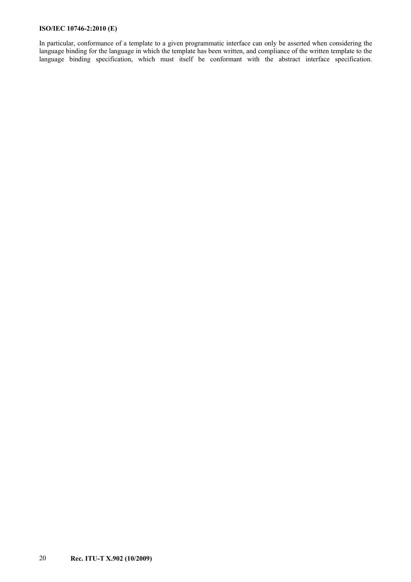In particular, conformance of a template to a given programmatic interface can only be asserted when considering the language binding for the language in which the template has been written, and compliance of the written template to the language binding specification, which must itself be conformant with the abstract interface specification.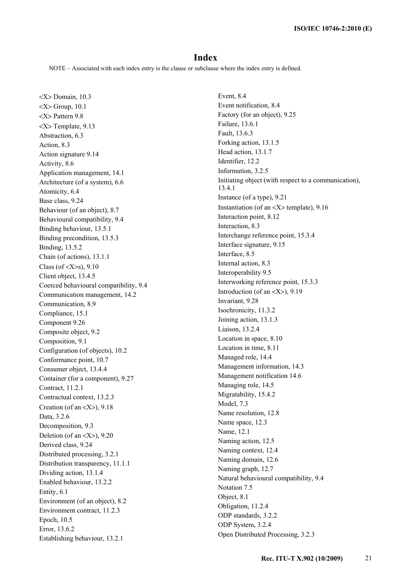# **Index**

NOTE – Associated with each index entry is the clause or subclause where the index entry is defined.

<X> Domain, 10.3  $<$ X $>$ Group, 10.1 <X> Pattern 9.8 <X> Template, 9.13 Abstraction, 6.3 Action, 8.3 Action signature 9.14 Activity, 8.6 Application management, 14.1 Architecture (of a system), 6.6 Atomicity, 6.4 Base class, 9.24 Behaviour (of an object), 8.7 Behavioural compatibility, 9.4 Binding behaviour, 13.5.1 Binding precondition, 13.5.3 Binding, 13.5.2 Chain (of actions), 13.1.1 Class (of  $\langle X \rangle$ s), 9.10 Client object, 13.4.5 Coerced behavioural compatibility, 9.4 Communication management, 14.2 Communication, 8.9 Compliance, 15.1 Component 9.26 Composite object, 9.2 Composition, 9.1 Configuration (of objects), 10.2 Conformance point, 10.7 Consumer object, 13.4.4 Container (for a component), 9.27 Contract, 11.2.1 Contractual context, 13.2.3 Creation (of an  $\langle X \rangle$ ), 9.18 Data, 3.2.6 Decomposition, 9.3 Deletion (of an  $\langle X \rangle$ ), 9.20 Derived class, 9.24 Distributed processing, 3.2.1 Distribution transparency, 11.1.1 Dividing action, 13.1.4 Enabled behaviour, 13.2.2 Entity, 6.1 Environment (of an object), 8.2 Environment contract, 11.2.3 Epoch, 10.5 Error, 13.6.2 Establishing behaviour, 13.2.1

Event, 8.4 Event notification, 8.4 Factory (for an object), 9.25 Failure, 13.6.1 Fault, 13.6.3 Forking action, 13.1.5 Head action, 13.1.7 Identifier, 12.2 Information, 3.2.5 Initiating object (with respect to a communication), 13.4.1 Instance (of a type), 9.21 Instantiation (of an <X> template), 9.16 Interaction point, 8.12 Interaction, 8.3 Interchange reference point, 15.3.4 Interface signature, 9.15 Interface, 8.5 Internal action, 8.3 Interoperability 9.5 Interworking reference point, 15.3.3 Introduction (of an  $\langle X \rangle$ ), 9.19 Invariant, 9.28 Isochronicity, 11.3.2 Joining action, 13.1.3 Liaison, 13.2.4 Location in space, 8.10 Location in time, 8.11 Managed role, 14.4 Management information, 14.3 Management notification 14.6 Managing role, 14.5 Migratability, 15.4.2 Model, 7.3 Name resolution, 12.8 Name space, 12.3 Name, 12.1 Naming action, 12.5 Naming context, 12.4 Naming domain, 12.6 Naming graph, 12.7 Natural behavioural compatibility, 9.4 Notation 7.5 Object, 8.1 Obligation, 11.2.4 ODP standards, 3.2.2 ODP System, 3.2.4 Open Distributed Processing, 3.2.3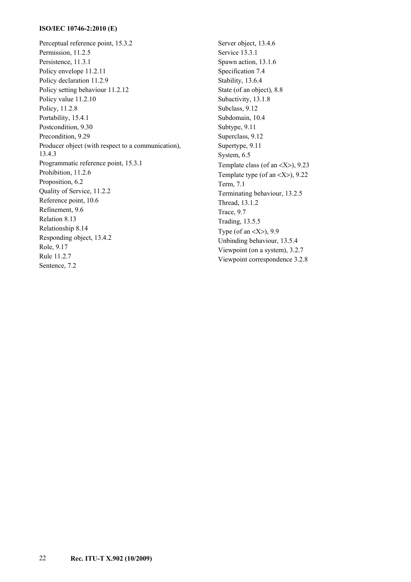Perceptual reference point, 15.3.2 Permission, 11.2.5 Persistence, 11.3.1 Policy envelope 11.2.11 Policy declaration 11.2.9 Policy setting behaviour 11.2.12 Policy value 11.2.10 Policy, 11.2.8 Portability, 15.4.1 Postcondition, 9.30 Precondition, 9.29 Producer object (with respect to a communication), 13.4.3 Programmatic reference point, 15.3.1 Prohibition, 11.2.6 Proposition, 6.2 Quality of Service, 11.2.2 Reference point, 10.6 Refinement, 9.6 Relation 8.13 Relationship 8.14 Responding object, 13.4.2 Role, 9.17 Rule 11.2.7 Sentence, 7.2

Server object, 13.4.6 Service 13.3.1 Spawn action, 13.1.6 Specification 7.4 Stability, 13.6.4 State (of an object), 8.8 Subactivity, 13.1.8 Subclass, 9.12 Subdomain, 10.4 Subtype, 9.11 Superclass, 9.12 Supertype, 9.11 System, 6.5 Template class (of an <X>), 9.23 Template type (of an <X>), 9.22 Term, 7.1 Terminating behaviour, 13.2.5 Thread, 13.1.2 Trace, 9.7 Trading, 13.5.5 Type (of an  $\langle X \rangle$ ), 9.9 Unbinding behaviour, 13.5.4 Viewpoint (on a system), 3.2.7 Viewpoint correspondence 3.2.8